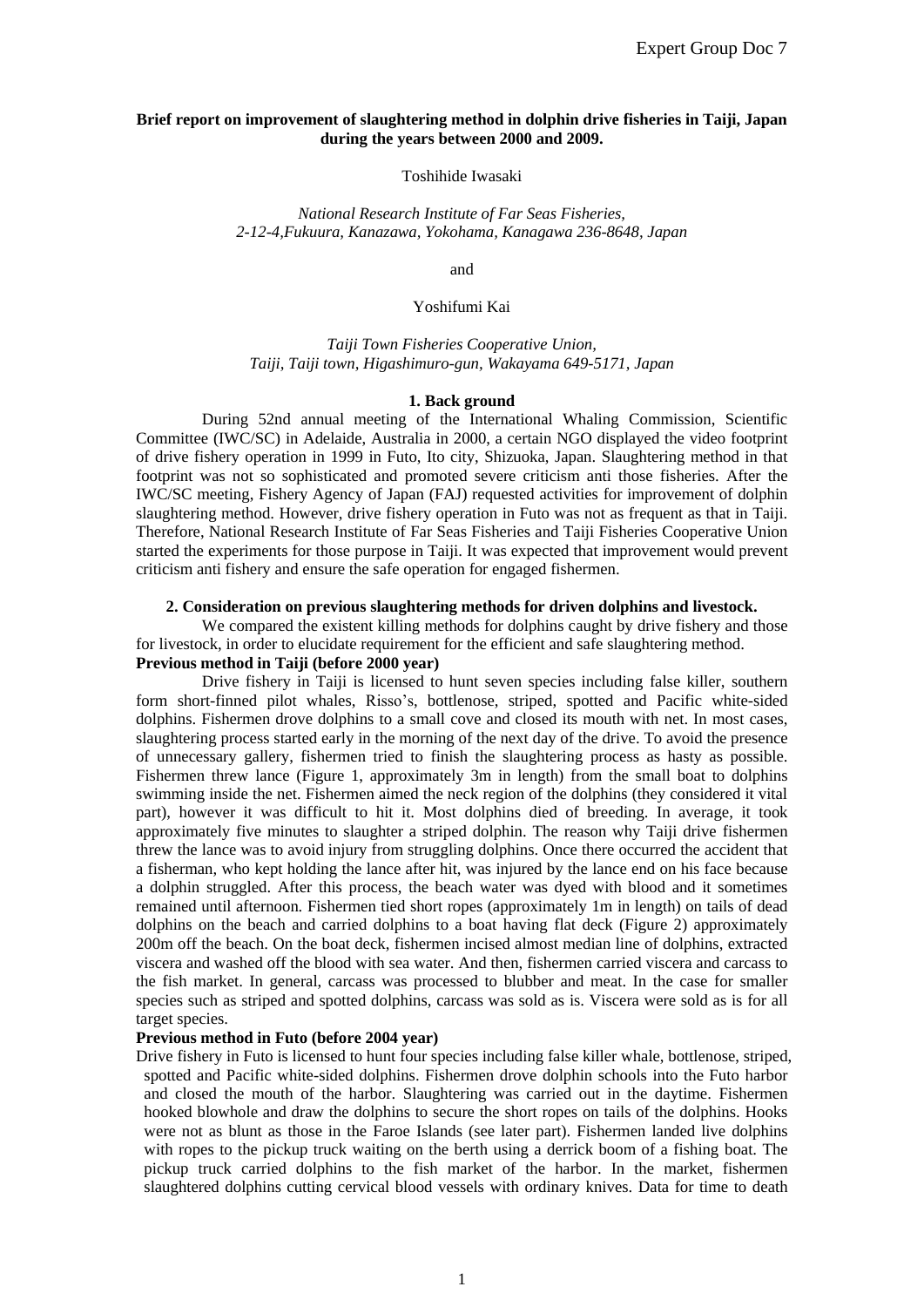## **Brief report on improvement of slaughtering method in dolphin drive fisheries in Taiji, Japan during the years between 2000 and 2009.**

Toshihide Iwasaki

*National Research Institute of Far Seas Fisheries, 2-12-4,Fukuura, Kanazawa, Yokohama, Kanagawa 236-8648, Japan*

and

Yoshifumi Kai

*Taiji Town Fisheries Cooperative Union, Taiji, Taiji town, Higashimuro-gun, Wakayama 649-5171, Japan*

### **1. Back ground**

During 52nd annual meeting of the International Whaling Commission, Scientific Committee (IWC/SC) in Adelaide, Australia in 2000, a certain NGO displayed the video footprint of drive fishery operation in 1999 in Futo, Ito city, Shizuoka, Japan. Slaughtering method in that footprint was not so sophisticated and promoted severe criticism anti those fisheries. After the IWC/SC meeting, Fishery Agency of Japan (FAJ) requested activities for improvement of dolphin slaughtering method. However, drive fishery operation in Futo was not as frequent as that in Taiji. Therefore, National Research Institute of Far Seas Fisheries and Taiji Fisheries Cooperative Union started the experiments for those purpose in Taiji. It was expected that improvement would prevent criticism anti fishery and ensure the safe operation for engaged fishermen.

### **2. Consideration on previous slaughtering methods for driven dolphins and livestock.**

We compared the existent killing methods for dolphins caught by drive fishery and those for livestock, in order to elucidate requirement for the efficient and safe slaughtering method. **Previous method in Taiji (before 2000 year)**

Drive fishery in Taiji is licensed to hunt seven species including false killer, southern form short-finned pilot whales, Risso's, bottlenose, striped, spotted and Pacific white-sided dolphins. Fishermen drove dolphins to a small cove and closed its mouth with net. In most cases, slaughtering process started early in the morning of the next day of the drive. To avoid the presence of unnecessary gallery, fishermen tried to finish the slaughtering process as hasty as possible. Fishermen threw lance (Figure 1, approximately 3m in length) from the small boat to dolphins swimming inside the net. Fishermen aimed the neck region of the dolphins (they considered it vital part), however it was difficult to hit it. Most dolphins died of breeding. In average, it took approximately five minutes to slaughter a striped dolphin. The reason why Taiji drive fishermen threw the lance was to avoid injury from struggling dolphins. Once there occurred the accident that a fisherman, who kept holding the lance after hit, was injured by the lance end on his face because a dolphin struggled. After this process, the beach water was dyed with blood and it sometimes remained until afternoon. Fishermen tied short ropes (approximately 1m in length) on tails of dead dolphins on the beach and carried dolphins to a boat having flat deck (Figure 2) approximately 200m off the beach. On the boat deck, fishermen incised almost median line of dolphins, extracted viscera and washed off the blood with sea water. And then, fishermen carried viscera and carcass to the fish market. In general, carcass was processed to blubber and meat. In the case for smaller species such as striped and spotted dolphins, carcass was sold as is. Viscera were sold as is for all target species.

## **Previous method in Futo (before 2004 year)**

Drive fishery in Futo is licensed to hunt four species including false killer whale, bottlenose, striped, spotted and Pacific white-sided dolphins. Fishermen drove dolphin schools into the Futo harbor and closed the mouth of the harbor. Slaughtering was carried out in the daytime. Fishermen hooked blowhole and draw the dolphins to secure the short ropes on tails of the dolphins. Hooks were not as blunt as those in the Faroe Islands (see later part). Fishermen landed live dolphins with ropes to the pickup truck waiting on the berth using a derrick boom of a fishing boat. The pickup truck carried dolphins to the fish market of the harbor. In the market, fishermen slaughtered dolphins cutting cervical blood vessels with ordinary knives. Data for time to death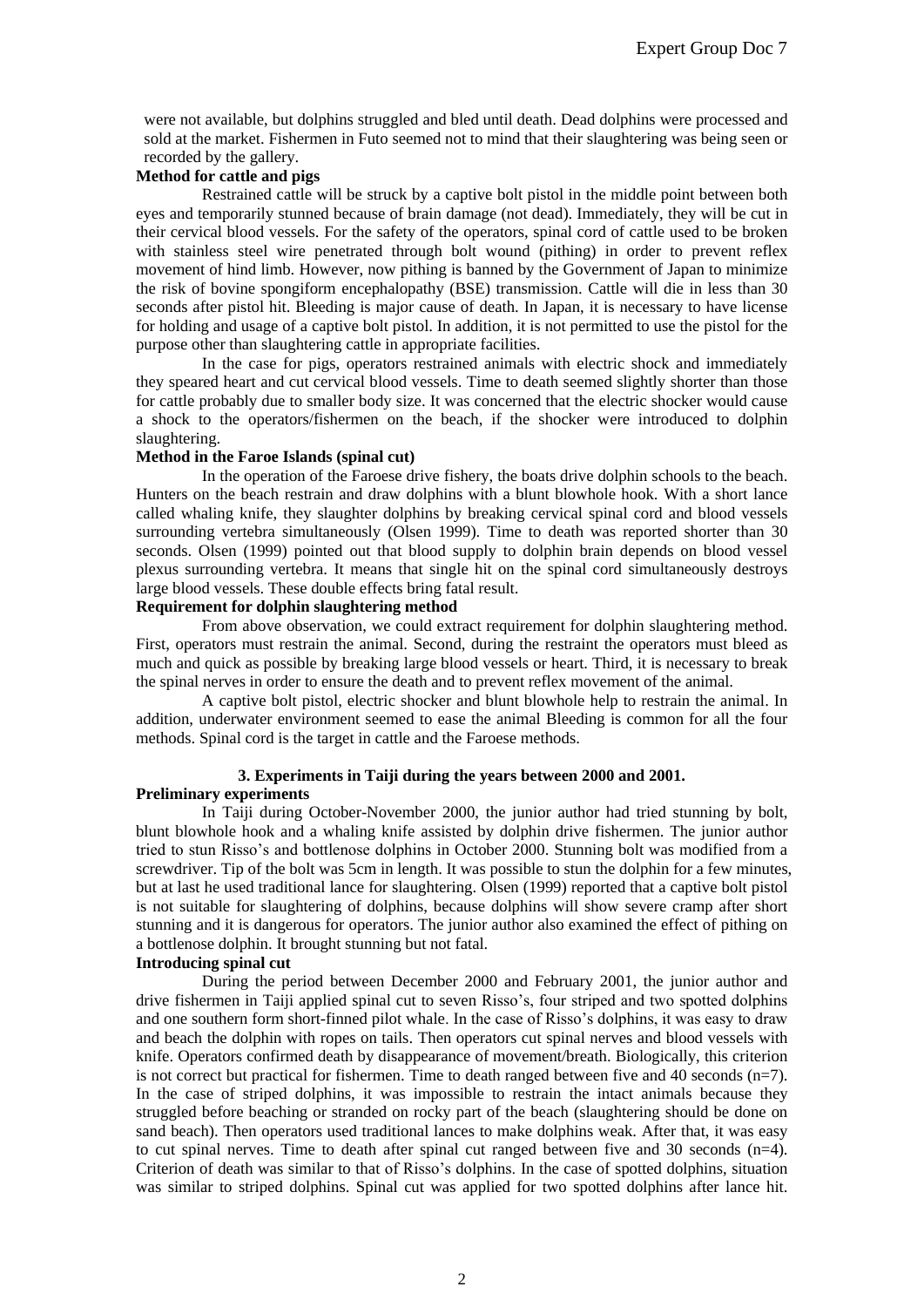were not available, but dolphins struggled and bled until death. Dead dolphins were processed and sold at the market. Fishermen in Futo seemed not to mind that their slaughtering was being seen or recorded by the gallery.

# **Method for cattle and pigs**

Restrained cattle will be struck by a captive bolt pistol in the middle point between both eyes and temporarily stunned because of brain damage (not dead). Immediately, they will be cut in their cervical blood vessels. For the safety of the operators, spinal cord of cattle used to be broken with stainless steel wire penetrated through bolt wound (pithing) in order to prevent reflex movement of hind limb. However, now pithing is banned by the Government of Japan to minimize the risk of bovine spongiform encephalopathy (BSE) transmission. Cattle will die in less than 30 seconds after pistol hit. Bleeding is major cause of death. In Japan, it is necessary to have license for holding and usage of a captive bolt pistol. In addition, it is not permitted to use the pistol for the purpose other than slaughtering cattle in appropriate facilities.

In the case for pigs, operators restrained animals with electric shock and immediately they speared heart and cut cervical blood vessels. Time to death seemed slightly shorter than those for cattle probably due to smaller body size. It was concerned that the electric shocker would cause a shock to the operators/fishermen on the beach, if the shocker were introduced to dolphin slaughtering.

## **Method in the Faroe Islands (spinal cut)**

In the operation of the Faroese drive fishery, the boats drive dolphin schools to the beach. Hunters on the beach restrain and draw dolphins with a blunt blowhole hook. With a short lance called whaling knife, they slaughter dolphins by breaking cervical spinal cord and blood vessels surrounding vertebra simultaneously (Olsen 1999). Time to death was reported shorter than 30 seconds. Olsen (1999) pointed out that blood supply to dolphin brain depends on blood vessel plexus surrounding vertebra. It means that single hit on the spinal cord simultaneously destroys large blood vessels. These double effects bring fatal result.

## **Requirement for dolphin slaughtering method**

From above observation, we could extract requirement for dolphin slaughtering method. First, operators must restrain the animal. Second, during the restraint the operators must bleed as much and quick as possible by breaking large blood vessels or heart. Third, it is necessary to break the spinal nerves in order to ensure the death and to prevent reflex movement of the animal.

A captive bolt pistol, electric shocker and blunt blowhole help to restrain the animal. In addition, underwater environment seemed to ease the animal Bleeding is common for all the four methods. Spinal cord is the target in cattle and the Faroese methods.

# **3. Experiments in Taiji during the years between 2000 and 2001.**

## **Preliminary experiments**

In Taiji during October-November 2000, the junior author had tried stunning by bolt, blunt blowhole hook and a whaling knife assisted by dolphin drive fishermen. The junior author tried to stun Risso's and bottlenose dolphins in October 2000. Stunning bolt was modified from a screwdriver. Tip of the bolt was 5cm in length. It was possible to stun the dolphin for a few minutes, but at last he used traditional lance for slaughtering. Olsen (1999) reported that a captive bolt pistol is not suitable for slaughtering of dolphins, because dolphins will show severe cramp after short stunning and it is dangerous for operators. The junior author also examined the effect of pithing on a bottlenose dolphin. It brought stunning but not fatal.

## **Introducing spinal cut**

During the period between December 2000 and February 2001, the junior author and drive fishermen in Taiji applied spinal cut to seven Risso's, four striped and two spotted dolphins and one southern form short-finned pilot whale. In the case of Risso's dolphins, it was easy to draw and beach the dolphin with ropes on tails. Then operators cut spinal nerves and blood vessels with knife. Operators confirmed death by disappearance of movement/breath. Biologically, this criterion is not correct but practical for fishermen. Time to death ranged between five and 40 seconds (n=7). In the case of striped dolphins, it was impossible to restrain the intact animals because they struggled before beaching or stranded on rocky part of the beach (slaughtering should be done on sand beach). Then operators used traditional lances to make dolphins weak. After that, it was easy to cut spinal nerves. Time to death after spinal cut ranged between five and 30 seconds (n=4). Criterion of death was similar to that of Risso's dolphins. In the case of spotted dolphins, situation was similar to striped dolphins. Spinal cut was applied for two spotted dolphins after lance hit.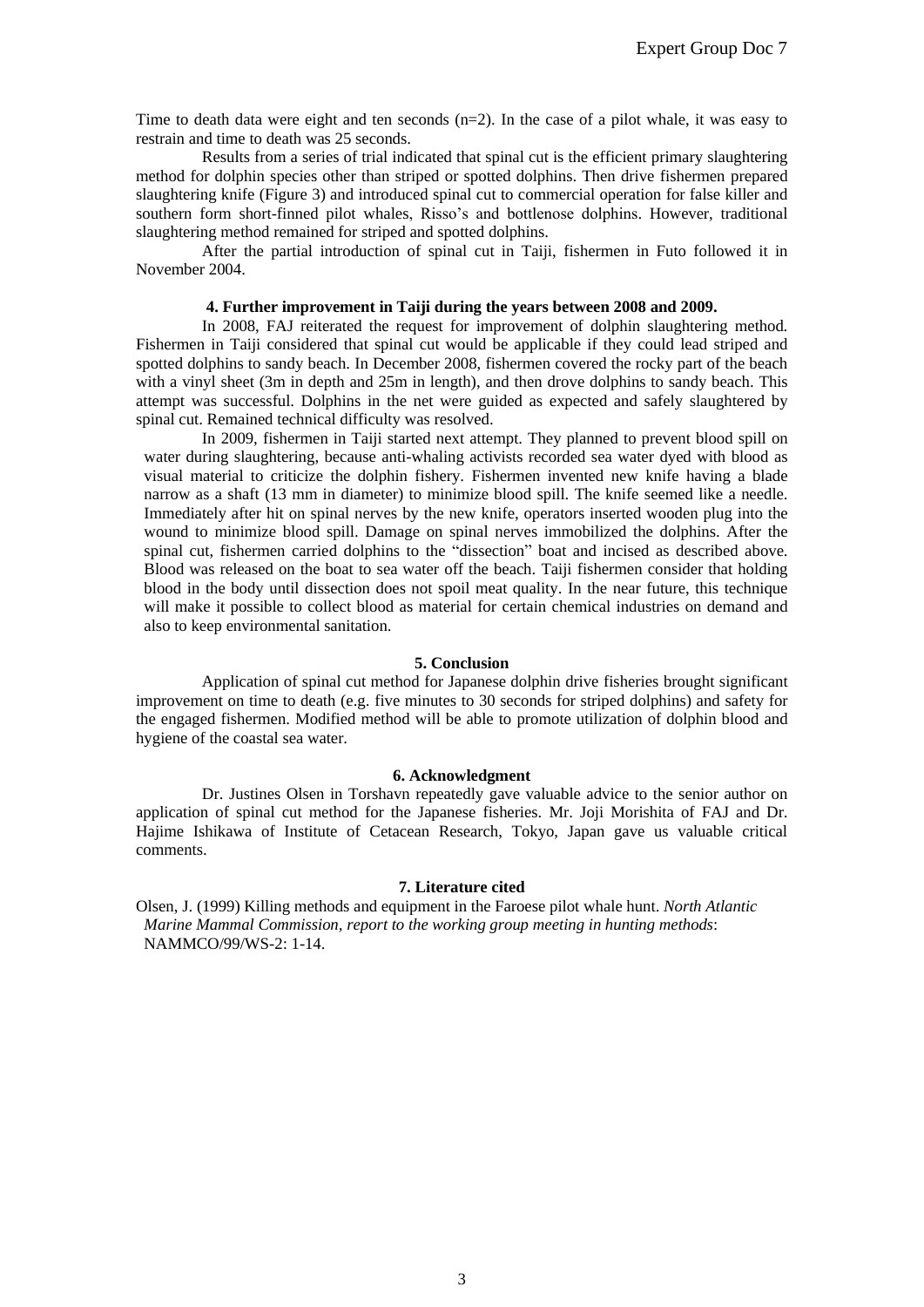Time to death data were eight and ten seconds (n=2). In the case of a pilot whale, it was easy to restrain and time to death was 25 seconds.

Results from a series of trial indicated that spinal cut is the efficient primary slaughtering method for dolphin species other than striped or spotted dolphins. Then drive fishermen prepared slaughtering knife (Figure 3) and introduced spinal cut to commercial operation for false killer and southern form short-finned pilot whales, Risso's and bottlenose dolphins. However, traditional slaughtering method remained for striped and spotted dolphins.

After the partial introduction of spinal cut in Taiji, fishermen in Futo followed it in November 2004.

### **4. Further improvement in Taiji during the years between 2008 and 2009.**

In 2008, FAJ reiterated the request for improvement of dolphin slaughtering method. Fishermen in Taiji considered that spinal cut would be applicable if they could lead striped and spotted dolphins to sandy beach. In December 2008, fishermen covered the rocky part of the beach with a vinyl sheet (3m in depth and 25m in length), and then drove dolphins to sandy beach. This attempt was successful. Dolphins in the net were guided as expected and safely slaughtered by spinal cut. Remained technical difficulty was resolved.

In 2009, fishermen in Taiji started next attempt. They planned to prevent blood spill on water during slaughtering, because anti-whaling activists recorded sea water dyed with blood as visual material to criticize the dolphin fishery. Fishermen invented new knife having a blade narrow as a shaft (13 mm in diameter) to minimize blood spill. The knife seemed like a needle. Immediately after hit on spinal nerves by the new knife, operators inserted wooden plug into the wound to minimize blood spill. Damage on spinal nerves immobilized the dolphins. After the spinal cut, fishermen carried dolphins to the "dissection" boat and incised as described above. Blood was released on the boat to sea water off the beach. Taiji fishermen consider that holding blood in the body until dissection does not spoil meat quality. In the near future, this technique will make it possible to collect blood as material for certain chemical industries on demand and also to keep environmental sanitation.

### **5. Conclusion**

Application of spinal cut method for Japanese dolphin drive fisheries brought significant improvement on time to death (e.g. five minutes to 30 seconds for striped dolphins) and safety for the engaged fishermen. Modified method will be able to promote utilization of dolphin blood and hygiene of the coastal sea water.

### **6. Acknowledgment**

Dr. Justines Olsen in Torshavn repeatedly gave valuable advice to the senior author on application of spinal cut method for the Japanese fisheries. Mr. Joji Morishita of FAJ and Dr. Hajime Ishikawa of Institute of Cetacean Research, Tokyo, Japan gave us valuable critical comments.

### **7. Literature cited**

Olsen, J. (1999) Killing methods and equipment in the Faroese pilot whale hunt. *North Atlantic Marine Mammal Commission, report to the working group meeting in hunting methods*: NAMMCO/99/WS-2: 1-14.